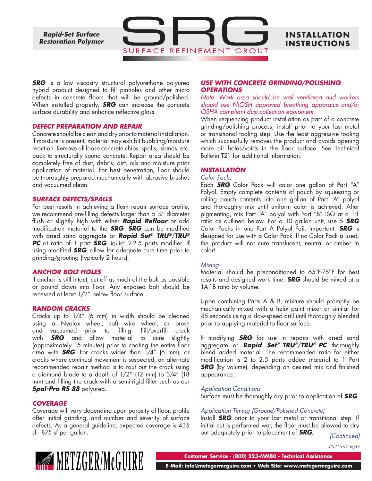*Rapid-Set Surface Restoration Polymer*

# **INS TALLAT ION INSTRUCTIONS**

*SRG* is a low viscosity structural polyurethane polyurea hybrid product designed to fill pinholes and other micro defects in concrete floors that will be ground/polished. When installed properly, *SRG* can increase the concrete surface durability and enhance reflective gloss.

SURFACE

#### *DEFECT PREPARATION AND REPAIR*

Concrete should be clean and dry prior to material installation. If moisture is present, material may exhibit bubbling/moisture reaction. Remove all loose concrete chips, spalls, islands, etc. back to structurally sound concrete. Repair area should be completely free of dust, debris, dirt, oils and moisture prior application of material. For best penetration, floor should be thoroughly prepared mechanically with abrasive brushes and vacuumed clean.

#### *SURFACE DEFECTS/SPALLS*

For best results in achieving a flush repair surface profile, we recommend pre-filling defects larger than a  $\frac{1}{4}$ " diameter flush or slightly high with either *Rapid Refloor* or add modification material to the *SRG*. *SRG* can be modified with dried sand aggregate or *Rapid Set® TRU®*/*TRU® PC* at ratio of 1 part *SRG* liquid: 2-2.5 parts modifier. If using modified *SRG*, allow for adequate cure time prior to grinding/grouting (typically 2 hours).

### *ANCHOR BOLT HOLES*

If anchor is still intact, cut off as much of the bolt as possible or pound down into floor. Any exposed bolt should be recessed at least 1/2" below floor surface.

#### *RANDOM CRACKS*

Cracks up to 1/4" (6 mm) in width should be cleaned using a Nyalox wheel, soft wire wheel, or brush and vacuumed prior to filling. Fill/overfill crack with *SRG* and allow material to cure slightly (approximately 15 minutes) prior to coating the entire floor area with *SRG*. For cracks wider than 1/4" (6 mm), or cracks where continual movement is suspected, an alternate recommended repair method is to rout out the crack using a diamond blade to a depth of 1/2" (12 mm) to 3/4" (18 mm) and filling the crack with a semi-rigid filler such as our *Spal-Pro RS 88* polyurea.

### *COVERAGE*

Coverage will vary depending upon porosity of floor, profile after initial grinding, and number and severity of surface defects. As a general guideline, expected coverage is 435 sf - 875 sf per gallon.

# *USE WITH CONCRETE GRINDING/POLISHING OPERATIONS*

*Note: Work area should be well ventilated and workers should use NIOSH approved breathing apparatus and/or OSHA compliant dust collection equipment.*

When sequencing product installation as part of a concrete grinding/polishing process, install prior to your last metal or transitional tooling step. Use the least aggressive tooling which successfully removes the product and avoids opening more air holes/voids in the floor surface. See Technical Bulletin T21 for additional information.

### *INSTALLATION*

#### *Color Packs*

REFINEMENT GROUT

Each *SRG* Color Pack will color one gallon of Part "A" Polyol. Empty complete contents of pouch by squeezing or rolling pouch contents into one gallon of Part "A" polyol and thoroughly mix until uniform color is achieved. After pigmenting, mix Part "A" polyol with Part "B" ISO at a 1:1 ratio as outlined below. For a 10 gallon unit, use 5 *SRG* Color Packs in one Part A Polyol Pail. Important: *SRG* is designed for use with a Color Pack. If no Color Pack is used, the product will not cure translucent, neutral or amber in color!

### *Mixing*

Material should be preconditioned to 65°F-75°F for best results and designed work time. *SRG* should be mixed at a 1A:1B ratio by volume.

Upon combining Parts A & B, mixture should promptly be mechanically mixed with a helix paint mixer or similar for 45 seconds using a slow-speed drill until thoroughly blended prior to applying material to floor surface.

If modifying *SRG* for use in repairs with dried sand aggregate or *Rapid Set® TRU®*/*TRU® PC* thoroughly blend added material. The recommended ratio for either modification is 2 to 2.5 parts added material to 1 Part *SRG* (by volume), depending on desired mix and finished appearance.

### *Application Conditions*

Surface must be thoroughly dry prior to application of *SRG*.

### *Application Timing (Ground/Polished Concrete)*

Install *SRG* prior to your last metal or transitional step. If initial cut is performed wet, the floor must be allowed to dry out adequately prior to placement of *SRG*. *(Continued)*

REVISED V2 06/19



**Customer Service - (800) 223-MM80 - Technical Assistance**

 **E-Mail: info@metzgermcguire.com • Web Site: www.metzgermcguire.com**